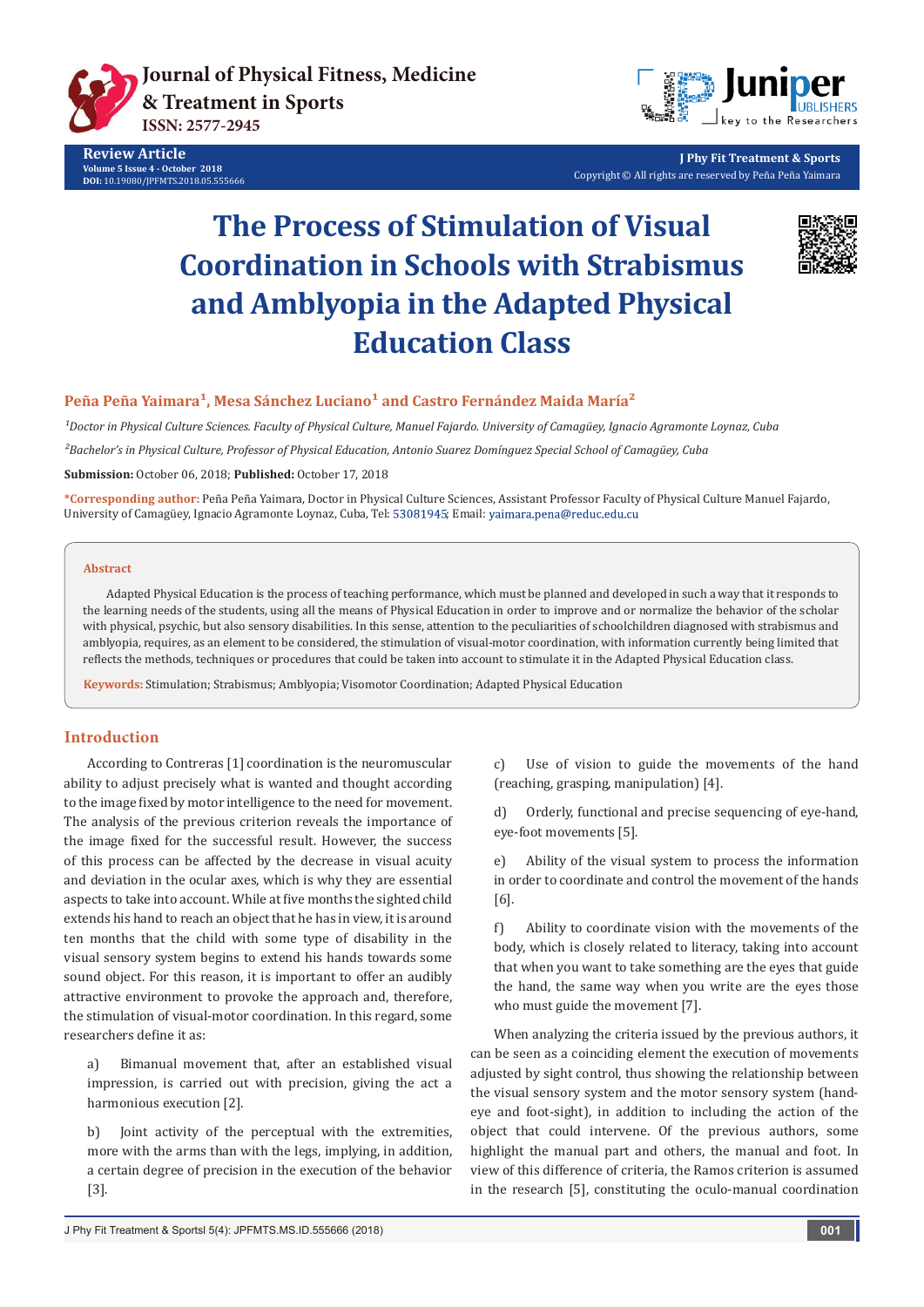

**Review Article Volume 5 Issue 4 - October 2018 DOI:** [10.19080/JPFMTS.2018.05.555666](http://dx.doi.org/10.19080/jpfmts.2018.05.555666)



**J Phy Fit Treatment & Sports** Copyright © All rights are reserved by Peña Peña Yaimara

# **The Process of Stimulation of Visual Coordination in Schools with Strabismus and Amblyopia in the Adapted Physical Education Class**



# Peña Peña Yaimara<sup>1</sup>, Mesa Sánchez Luciano<sup>1</sup> and Castro Fernández Maida María<sup>2</sup>

*¹Doctor in Physical Culture Sciences. Faculty of Physical Culture, Manuel Fajardo. University of Camagüey, Ignacio Agramonte Loynaz, Cuba*

*²Bachelor's in Physical Culture, Professor of Physical Education, Antonio Suarez Domínguez Special School of Camagüey, Cuba*

**Submission:** October 06, 2018; **Published:** October 17, 2018

**\*Corresponding author:** Peña Peña Yaimara, Doctor in Physical Culture Sciences, Assistant Professor Faculty of Physical Culture Manuel Fajardo, University of Camagüey, Ignacio Agramonte Loynaz, Cuba, Tel: 53081945; Email: yaimara.pena@reduc.edu.cu

#### **Abstract**

Adapted Physical Education is the process of teaching performance, which must be planned and developed in such a way that it responds to the learning needs of the students, using all the means of Physical Education in order to improve and or normalize the behavior of the scholar with physical, psychic, but also sensory disabilities. In this sense, attention to the peculiarities of schoolchildren diagnosed with strabismus and amblyopia, requires, as an element to be considered, the stimulation of visual-motor coordination, with information currently being limited that reflects the methods, techniques or procedures that could be taken into account to stimulate it in the Adapted Physical Education class.

**Keywords:** Stimulation; Strabismus; Amblyopia; Visomotor Coordination; Adapted Physical Education

### **Introduction**

According to Contreras [1] coordination is the neuromuscular ability to adjust precisely what is wanted and thought according to the image fixed by motor intelligence to the need for movement. The analysis of the previous criterion reveals the importance of the image fixed for the successful result. However, the success of this process can be affected by the decrease in visual acuity and deviation in the ocular axes, which is why they are essential aspects to take into account. While at five months the sighted child extends his hand to reach an object that he has in view, it is around ten months that the child with some type of disability in the visual sensory system begins to extend his hands towards some sound object. For this reason, it is important to offer an audibly attractive environment to provoke the approach and, therefore, the stimulation of visual-motor coordination. In this regard, some researchers define it as:

a) Bimanual movement that, after an established visual impression, is carried out with precision, giving the act a harmonious execution [2].

b) Ioint activity of the perceptual with the extremities, more with the arms than with the legs, implying, in addition, a certain degree of precision in the execution of the behavior [3].

c) Use of vision to guide the movements of the hand (reaching, grasping, manipulation) [4].

d) Orderly, functional and precise sequencing of eye-hand, eye-foot movements [5].

e) Ability of the visual system to process the information in order to coordinate and control the movement of the hands [6].

f) Ability to coordinate vision with the movements of the body, which is closely related to literacy, taking into account that when you want to take something are the eyes that guide the hand, the same way when you write are the eyes those who must guide the movement [7].

When analyzing the criteria issued by the previous authors, it can be seen as a coinciding element the execution of movements adjusted by sight control, thus showing the relationship between the visual sensory system and the motor sensory system (handeye and foot-sight), in addition to including the action of the object that could intervene. Of the previous authors, some highlight the manual part and others, the manual and foot. In view of this difference of criteria, the Ramos criterion is assumed in the research [5], constituting the oculo-manual coordination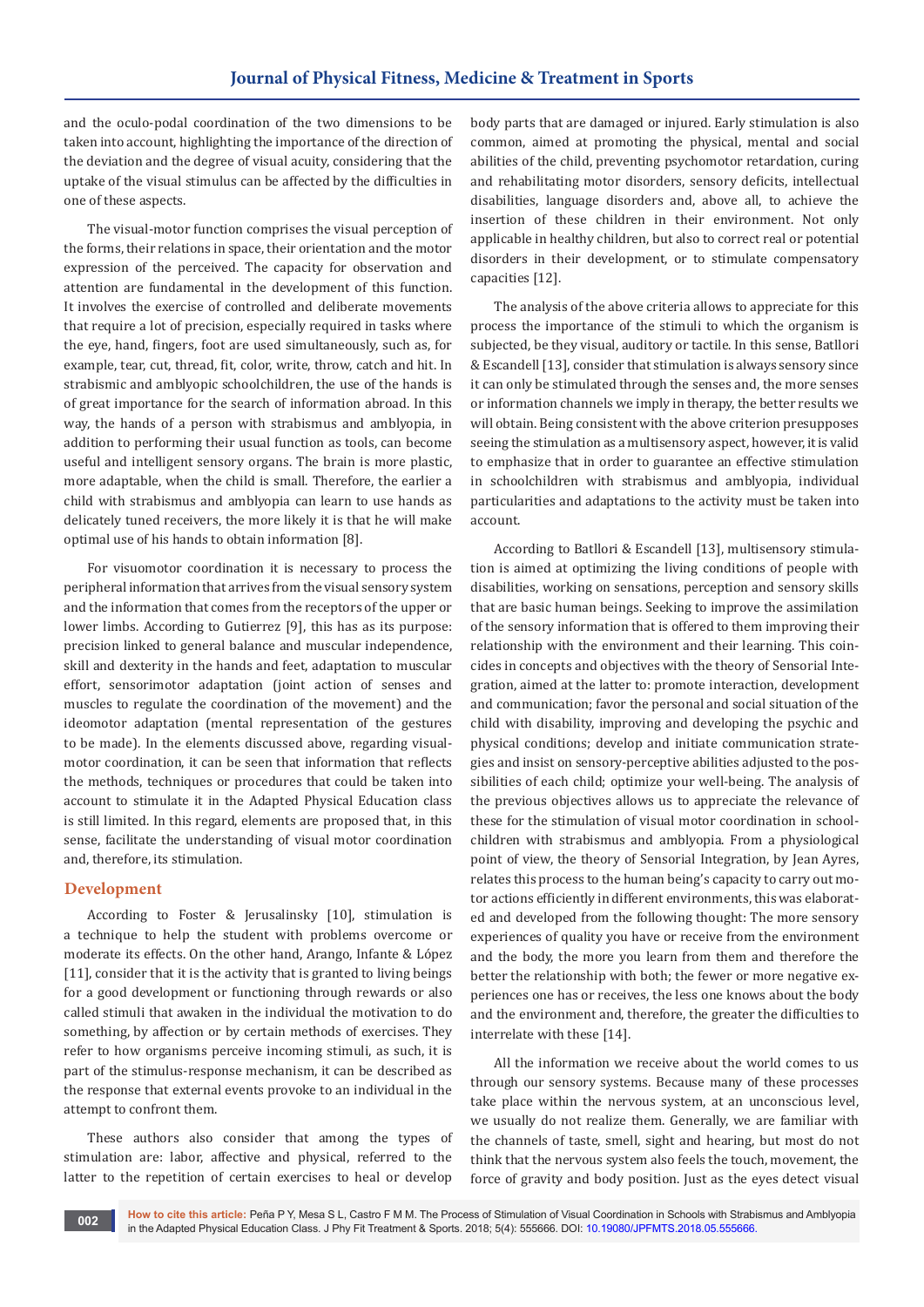and the oculo-podal coordination of the two dimensions to be taken into account, highlighting the importance of the direction of the deviation and the degree of visual acuity, considering that the uptake of the visual stimulus can be affected by the difficulties in one of these aspects.

The visual-motor function comprises the visual perception of the forms, their relations in space, their orientation and the motor expression of the perceived. The capacity for observation and attention are fundamental in the development of this function. It involves the exercise of controlled and deliberate movements that require a lot of precision, especially required in tasks where the eye, hand, fingers, foot are used simultaneously, such as, for example, tear, cut, thread, fit, color, write, throw, catch and hit. In strabismic and amblyopic schoolchildren, the use of the hands is of great importance for the search of information abroad. In this way, the hands of a person with strabismus and amblyopia, in addition to performing their usual function as tools, can become useful and intelligent sensory organs. The brain is more plastic, more adaptable, when the child is small. Therefore, the earlier a child with strabismus and amblyopia can learn to use hands as delicately tuned receivers, the more likely it is that he will make optimal use of his hands to obtain information [8].

For visuomotor coordination it is necessary to process the peripheral information that arrives from the visual sensory system and the information that comes from the receptors of the upper or lower limbs. According to Gutierrez [9], this has as its purpose: precision linked to general balance and muscular independence, skill and dexterity in the hands and feet, adaptation to muscular effort, sensorimotor adaptation (joint action of senses and muscles to regulate the coordination of the movement) and the ideomotor adaptation (mental representation of the gestures to be made). In the elements discussed above, regarding visualmotor coordination, it can be seen that information that reflects the methods, techniques or procedures that could be taken into account to stimulate it in the Adapted Physical Education class is still limited. In this regard, elements are proposed that, in this sense, facilitate the understanding of visual motor coordination and, therefore, its stimulation.

#### **Development**

According to Foster & Jerusalinsky [10], stimulation is a technique to help the student with problems overcome or moderate its effects. On the other hand, Arango, Infante & López [11], consider that it is the activity that is granted to living beings for a good development or functioning through rewards or also called stimuli that awaken in the individual the motivation to do something, by affection or by certain methods of exercises. They refer to how organisms perceive incoming stimuli, as such, it is part of the stimulus-response mechanism, it can be described as the response that external events provoke to an individual in the attempt to confront them.

These authors also consider that among the types of stimulation are: labor, affective and physical, referred to the latter to the repetition of certain exercises to heal or develop

body parts that are damaged or injured. Early stimulation is also common, aimed at promoting the physical, mental and social abilities of the child, preventing psychomotor retardation, curing and rehabilitating motor disorders, sensory deficits, intellectual disabilities, language disorders and, above all, to achieve the insertion of these children in their environment. Not only applicable in healthy children, but also to correct real or potential disorders in their development, or to stimulate compensatory capacities [12].

The analysis of the above criteria allows to appreciate for this process the importance of the stimuli to which the organism is subjected, be they visual, auditory or tactile. In this sense, Batllori & Escandell [13], consider that stimulation is always sensory since it can only be stimulated through the senses and, the more senses or information channels we imply in therapy, the better results we will obtain. Being consistent with the above criterion presupposes seeing the stimulation as a multisensory aspect, however, it is valid to emphasize that in order to guarantee an effective stimulation in schoolchildren with strabismus and amblyopia, individual particularities and adaptations to the activity must be taken into account.

According to Batllori & Escandell [13], multisensory stimulation is aimed at optimizing the living conditions of people with disabilities, working on sensations, perception and sensory skills that are basic human beings. Seeking to improve the assimilation of the sensory information that is offered to them improving their relationship with the environment and their learning. This coincides in concepts and objectives with the theory of Sensorial Integration, aimed at the latter to: promote interaction, development and communication; favor the personal and social situation of the child with disability, improving and developing the psychic and physical conditions; develop and initiate communication strategies and insist on sensory-perceptive abilities adjusted to the possibilities of each child; optimize your well-being. The analysis of the previous objectives allows us to appreciate the relevance of these for the stimulation of visual motor coordination in schoolchildren with strabismus and amblyopia. From a physiological point of view, the theory of Sensorial Integration, by Jean Ayres, relates this process to the human being's capacity to carry out motor actions efficiently in different environments, this was elaborated and developed from the following thought: The more sensory experiences of quality you have or receive from the environment and the body, the more you learn from them and therefore the better the relationship with both; the fewer or more negative experiences one has or receives, the less one knows about the body and the environment and, therefore, the greater the difficulties to interrelate with these [14].

All the information we receive about the world comes to us through our sensory systems. Because many of these processes take place within the nervous system, at an unconscious level, we usually do not realize them. Generally, we are familiar with the channels of taste, smell, sight and hearing, but most do not think that the nervous system also feels the touch, movement, the force of gravity and body position. Just as the eyes detect visual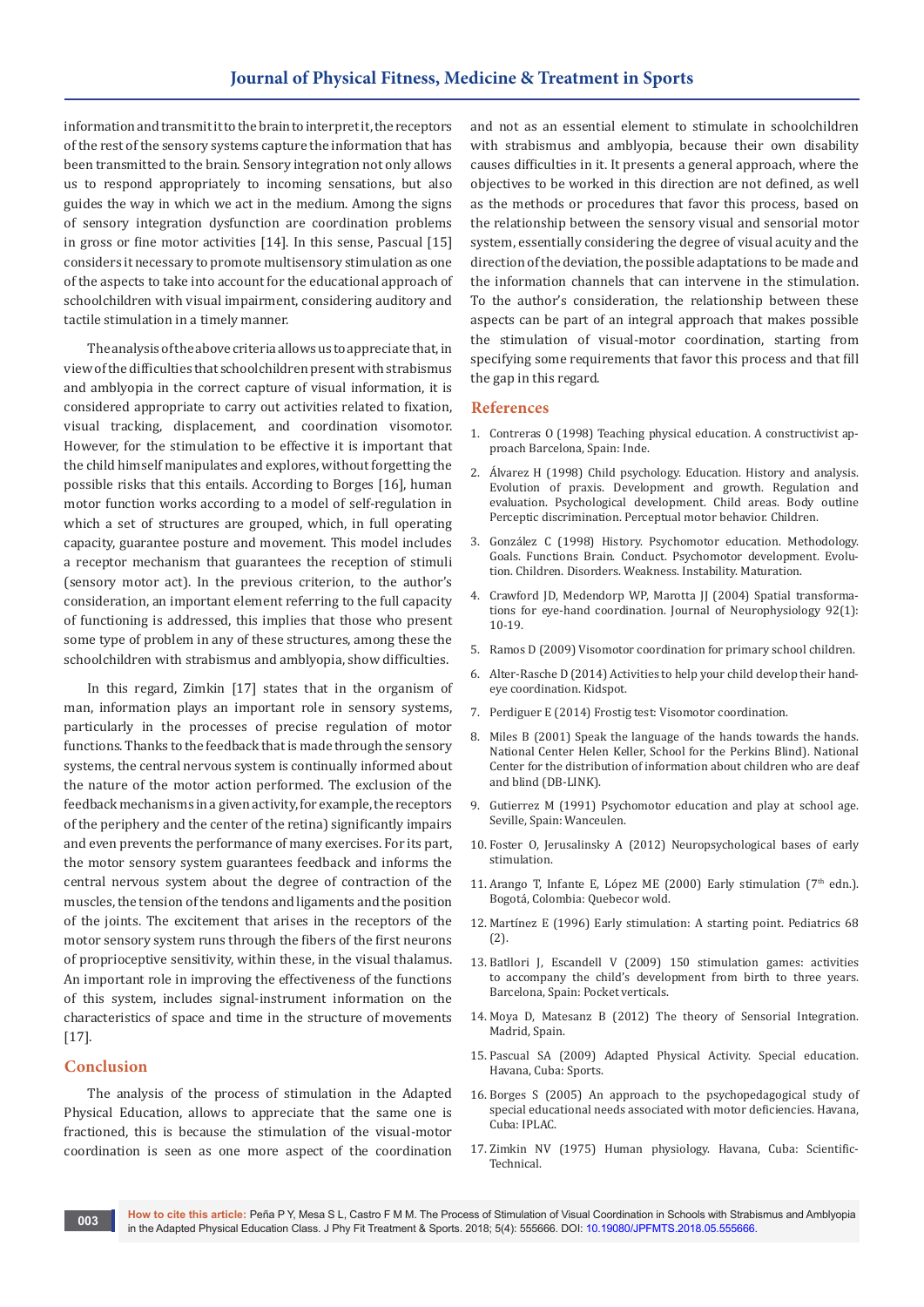information and transmit it to the brain to interpret it, the receptors of the rest of the sensory systems capture the information that has been transmitted to the brain. Sensory integration not only allows us to respond appropriately to incoming sensations, but also guides the way in which we act in the medium. Among the signs of sensory integration dysfunction are coordination problems in gross or fine motor activities [14]. In this sense, Pascual [15] considers it necessary to promote multisensory stimulation as one of the aspects to take into account for the educational approach of schoolchildren with visual impairment, considering auditory and tactile stimulation in a timely manner.

The analysis of the above criteria allows us to appreciate that, in view of the difficulties that schoolchildren present with strabismus and amblyopia in the correct capture of visual information, it is considered appropriate to carry out activities related to fixation, visual tracking, displacement, and coordination visomotor. However, for the stimulation to be effective it is important that the child himself manipulates and explores, without forgetting the possible risks that this entails. According to Borges [16], human motor function works according to a model of self-regulation in which a set of structures are grouped, which, in full operating capacity, guarantee posture and movement. This model includes a receptor mechanism that guarantees the reception of stimuli (sensory motor act). In the previous criterion, to the author's consideration, an important element referring to the full capacity of functioning is addressed, this implies that those who present some type of problem in any of these structures, among these the schoolchildren with strabismus and amblyopia, show difficulties.

In this regard, Zimkin [17] states that in the organism of man, information plays an important role in sensory systems, particularly in the processes of precise regulation of motor functions. Thanks to the feedback that is made through the sensory systems, the central nervous system is continually informed about the nature of the motor action performed. The exclusion of the feedback mechanisms in a given activity, for example, the receptors of the periphery and the center of the retina) significantly impairs and even prevents the performance of many exercises. For its part, the motor sensory system guarantees feedback and informs the central nervous system about the degree of contraction of the muscles, the tension of the tendons and ligaments and the position of the joints. The excitement that arises in the receptors of the motor sensory system runs through the fibers of the first neurons of proprioceptive sensitivity, within these, in the visual thalamus. An important role in improving the effectiveness of the functions of this system, includes signal-instrument information on the characteristics of space and time in the structure of movements [17].

#### **Conclusion**

The analysis of the process of stimulation in the Adapted Physical Education, allows to appreciate that the same one is fractioned, this is because the stimulation of the visual-motor coordination is seen as one more aspect of the coordination

and not as an essential element to stimulate in schoolchildren with strabismus and amblyopia, because their own disability causes difficulties in it. It presents a general approach, where the objectives to be worked in this direction are not defined, as well as the methods or procedures that favor this process, based on the relationship between the sensory visual and sensorial motor system, essentially considering the degree of visual acuity and the direction of the deviation, the possible adaptations to be made and the information channels that can intervene in the stimulation. To the author's consideration, the relationship between these aspects can be part of an integral approach that makes possible the stimulation of visual-motor coordination, starting from specifying some requirements that favor this process and that fill the gap in this regard.

#### **References**

- 1. Contreras O (1998) Teaching physical education. A constructivist approach Barcelona, Spain: Inde.
- 2. Álvarez H (1998) Child psychology. Education. History and analysis. Evolution of praxis. Development and growth. Regulation and evaluation. Psychological development. Child areas. Body outline Perceptic discrimination. Perceptual motor behavior. Children.
- 3. González C (1998) History. Psychomotor education. Methodology. Goals. Functions Brain. Conduct. Psychomotor development. Evolution. Children. Disorders. Weakness. Instability. Maturation.
- 4. [Crawford JD, Medendorp WP, Marotta JJ \(2004\) Spatial transforma](https://www.physiology.org/doi/full/10.1152/jn.00117.2004)[tions for eye-hand coordination. Journal of Neurophysiology 92\(1\):](https://www.physiology.org/doi/full/10.1152/jn.00117.2004)  [10-19.](https://www.physiology.org/doi/full/10.1152/jn.00117.2004)
- 5. Ramos D (2009) Visomotor coordination for primary school children.
- 6. [Alter-Rasche D \(2014\) Activities to help your child develop their hand](https://www.kidspot.com.au/school/primary/learning-and-behaviour/activities-to-help-your-child-develop-their-handeye-coordination/news-story/3e8f2adf2845f1e7820af0d00618e243)[eye coordination. Kidspot.](https://www.kidspot.com.au/school/primary/learning-and-behaviour/activities-to-help-your-child-develop-their-handeye-coordination/news-story/3e8f2adf2845f1e7820af0d00618e243)
- 7. Perdiguer E (2014) Frostig test: Visomotor coordination.
- 8. Miles B (2001) Speak the language of the hands towards the hands. National Center Helen Keller, School for the Perkins Blind). National Center for the distribution of information about children who are deaf and blind (DB-LINK).
- 9. Gutierrez M (1991) Psychomotor education and play at school age. Seville, Spain: Wanceulen.
- 10. Foster O, Jerusalinsky A (2012) Neuropsychological bases of early stimulation.
- 11. Arango T, Infante E, López ME (2000) Early stimulation ( $7<sup>th</sup>$  edn.). Bogotá, Colombia: Quebecor wold.
- 12. Martínez E (1996) Early stimulation: A starting point. Pediatrics 68 (2).
- 13. Batllori J, Escandell V (2009) 150 stimulation games: activities to accompany the child's development from birth to three years. Barcelona, Spain: Pocket verticals.
- 14. Moya D, Matesanz B (2012) The theory of Sensorial Integration. Madrid, Spain.
- 15. Pascual SA (2009) Adapted Physical Activity. Special education. Havana, Cuba: Sports.
- 16. Borges S (2005) An approach to the psychopedagogical study of special educational needs associated with motor deficiencies. Havana, Cuba: IPLAC.
- 17. Zimkin NV (1975) Human physiology. Havana, Cuba: Scientific-Technical.